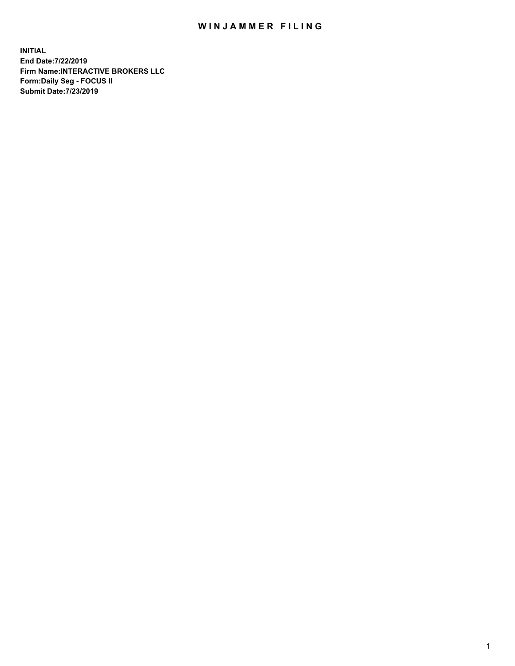## WIN JAMMER FILING

**INITIAL End Date:7/22/2019 Firm Name:INTERACTIVE BROKERS LLC Form:Daily Seg - FOCUS II Submit Date:7/23/2019**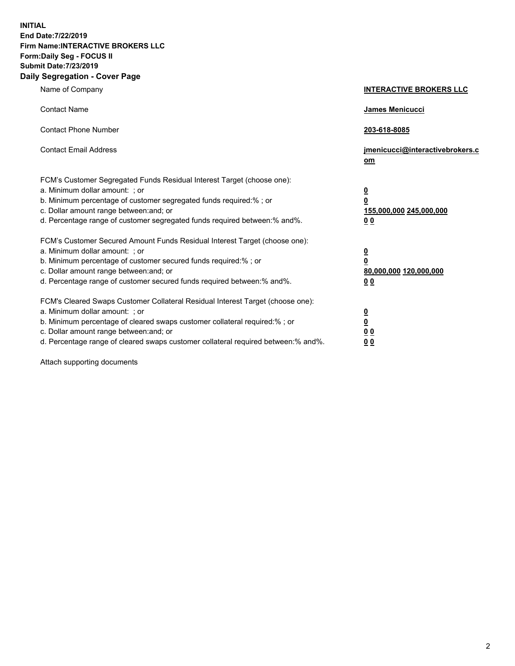**INITIAL End Date:7/22/2019 Firm Name:INTERACTIVE BROKERS LLC Form:Daily Seg - FOCUS II Submit Date:7/23/2019 Daily Segregation - Cover Page**

| Name of Company                                                                                                                                                                                                                                                                                                                | <b>INTERACTIVE BROKERS LLC</b>                                                  |
|--------------------------------------------------------------------------------------------------------------------------------------------------------------------------------------------------------------------------------------------------------------------------------------------------------------------------------|---------------------------------------------------------------------------------|
| <b>Contact Name</b>                                                                                                                                                                                                                                                                                                            | James Menicucci                                                                 |
| <b>Contact Phone Number</b>                                                                                                                                                                                                                                                                                                    | 203-618-8085                                                                    |
| <b>Contact Email Address</b>                                                                                                                                                                                                                                                                                                   | jmenicucci@interactivebrokers.c<br>om                                           |
| FCM's Customer Segregated Funds Residual Interest Target (choose one):<br>a. Minimum dollar amount: ; or<br>b. Minimum percentage of customer segregated funds required:% ; or<br>c. Dollar amount range between: and; or<br>d. Percentage range of customer segregated funds required between: % and %.                       | $\overline{\mathbf{0}}$<br>0<br>155,000,000 245,000,000<br>0 <sub>0</sub>       |
| FCM's Customer Secured Amount Funds Residual Interest Target (choose one):<br>a. Minimum dollar amount: ; or<br>b. Minimum percentage of customer secured funds required:%; or<br>c. Dollar amount range between: and; or<br>d. Percentage range of customer secured funds required between:% and%.                            | <u>0</u><br>$\overline{\mathbf{0}}$<br>80,000,000 120,000,000<br>0 <sub>0</sub> |
| FCM's Cleared Swaps Customer Collateral Residual Interest Target (choose one):<br>a. Minimum dollar amount: ; or<br>b. Minimum percentage of cleared swaps customer collateral required:% ; or<br>c. Dollar amount range between: and; or<br>d. Percentage range of cleared swaps customer collateral required between:% and%. | $\frac{0}{0}$<br>$\underline{0}$ $\underline{0}$<br>0 <sub>0</sub>              |

Attach supporting documents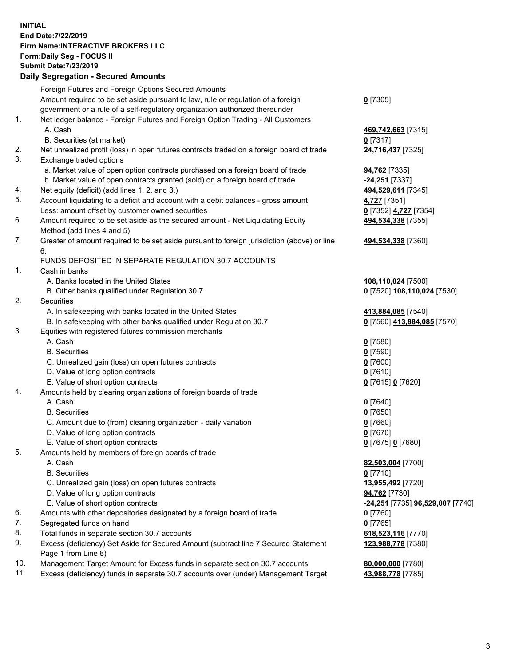## **INITIAL End Date:7/22/2019 Firm Name:INTERACTIVE BROKERS LLC Form:Daily Seg - FOCUS II Submit Date:7/23/2019 Daily Segregation - Secured Amounts**

|                | Daily Ocglegation - Occuled Aniounts                                                              |                                                      |
|----------------|---------------------------------------------------------------------------------------------------|------------------------------------------------------|
|                | Foreign Futures and Foreign Options Secured Amounts                                               |                                                      |
|                | Amount required to be set aside pursuant to law, rule or regulation of a foreign                  | $0$ [7305]                                           |
|                | government or a rule of a self-regulatory organization authorized thereunder                      |                                                      |
| $\mathbf{1}$ . | Net ledger balance - Foreign Futures and Foreign Option Trading - All Customers                   |                                                      |
|                | A. Cash                                                                                           | 469,742,663 [7315]                                   |
|                | B. Securities (at market)                                                                         | $0$ [7317]                                           |
| 2.             | Net unrealized profit (loss) in open futures contracts traded on a foreign board of trade         | 24,716,437 [7325]                                    |
| 3.             | Exchange traded options                                                                           |                                                      |
|                | a. Market value of open option contracts purchased on a foreign board of trade                    | 94,762 [7335]                                        |
|                | b. Market value of open contracts granted (sold) on a foreign board of trade                      | -24,251 [7337]                                       |
| 4.             | Net equity (deficit) (add lines 1.2. and 3.)                                                      | 494,529,611 [7345]                                   |
| 5.             | Account liquidating to a deficit and account with a debit balances - gross amount                 | 4,727 [7351]                                         |
|                | Less: amount offset by customer owned securities                                                  | 0 [7352] 4,727 [7354]                                |
| 6.             | Amount required to be set aside as the secured amount - Net Liquidating Equity                    | 494,534,338 [7355]                                   |
|                | Method (add lines 4 and 5)                                                                        |                                                      |
| 7.             | Greater of amount required to be set aside pursuant to foreign jurisdiction (above) or line<br>6. | 494,534,338 [7360]                                   |
|                | FUNDS DEPOSITED IN SEPARATE REGULATION 30.7 ACCOUNTS                                              |                                                      |
| 1.             | Cash in banks                                                                                     |                                                      |
|                | A. Banks located in the United States                                                             | 108,110,024 [7500]                                   |
|                | B. Other banks qualified under Regulation 30.7                                                    | 0 [7520] 108,110,024 [7530]                          |
| 2.             | Securities                                                                                        |                                                      |
|                | A. In safekeeping with banks located in the United States                                         | 413,884,085 [7540]                                   |
|                | B. In safekeeping with other banks qualified under Regulation 30.7                                | 0 [7560] 413,884,085 [7570]                          |
| 3.             | Equities with registered futures commission merchants                                             |                                                      |
|                | A. Cash                                                                                           | $0$ [7580]                                           |
|                | <b>B.</b> Securities                                                                              | $0$ [7590]                                           |
|                | C. Unrealized gain (loss) on open futures contracts                                               | $0$ [7600]                                           |
|                | D. Value of long option contracts                                                                 | $0$ [7610]                                           |
|                | E. Value of short option contracts                                                                | 0 [7615] 0 [7620]                                    |
| 4.             | Amounts held by clearing organizations of foreign boards of trade                                 |                                                      |
|                | A. Cash                                                                                           | $0$ [7640]                                           |
|                | <b>B.</b> Securities                                                                              | $0$ [7650]                                           |
|                | C. Amount due to (from) clearing organization - daily variation                                   | $0$ [7660]                                           |
|                | D. Value of long option contracts                                                                 | $0$ [7670]                                           |
|                | E. Value of short option contracts                                                                | 0 [7675] 0 [7680]                                    |
| 5.             | Amounts held by members of foreign boards of trade                                                |                                                      |
|                | A. Cash                                                                                           | 82,503,004 [7700]                                    |
|                | <b>B.</b> Securities                                                                              | $0$ [7710]                                           |
|                | C. Unrealized gain (loss) on open futures contracts                                               | 13,955,492 [7720]                                    |
|                | D. Value of long option contracts                                                                 | 94,762 [7730]                                        |
|                | E. Value of short option contracts                                                                | <mark>-24,251</mark> [7735] <b>96,529,007</b> [7740] |
| 6.             | Amounts with other depositories designated by a foreign board of trade                            | 0 [7760]                                             |
| 7.             | Segregated funds on hand                                                                          | $0$ [7765]                                           |
| 8.             | Total funds in separate section 30.7 accounts                                                     | 618,523,116 [7770]                                   |
| 9.             | Excess (deficiency) Set Aside for Secured Amount (subtract line 7 Secured Statement               | 123,988,778 [7380]                                   |
|                | Page 1 from Line 8)                                                                               |                                                      |
| 10.            | Management Target Amount for Excess funds in separate section 30.7 accounts                       | 80,000,000 [7780]                                    |
| 11.            | Excess (deficiency) funds in separate 30.7 accounts over (under) Management Target                | 43,988,778 [7785]                                    |
|                |                                                                                                   |                                                      |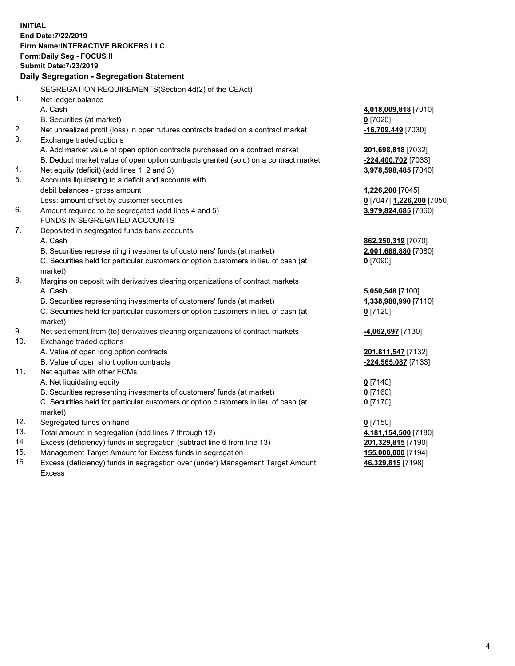**INITIAL End Date:7/22/2019 Firm Name:INTERACTIVE BROKERS LLC Form:Daily Seg - FOCUS II Submit Date:7/23/2019 Daily Segregation - Segregation Statement** SEGREGATION REQUIREMENTS(Section 4d(2) of the CEAct) 1. Net ledger balance A. Cash **4,018,009,818** [7010] B. Securities (at market) **0** [7020] 2. Net unrealized profit (loss) in open futures contracts traded on a contract market **-16,709,449** [7030] 3. Exchange traded options A. Add market value of open option contracts purchased on a contract market **201,698,818** [7032] B. Deduct market value of open option contracts granted (sold) on a contract market **-224,400,702** [7033] 4. Net equity (deficit) (add lines 1, 2 and 3) **3,978,598,485** [7040] 5. Accounts liquidating to a deficit and accounts with debit balances - gross amount **1,226,200** [7045] Less: amount offset by customer securities **0** [7047] **1,226,200** [7050] 6. Amount required to be segregated (add lines 4 and 5) **3,979,824,685** [7060] FUNDS IN SEGREGATED ACCOUNTS 7. Deposited in segregated funds bank accounts A. Cash **862,250,319** [7070] B. Securities representing investments of customers' funds (at market) **2,001,688,880** [7080] C. Securities held for particular customers or option customers in lieu of cash (at market) **0** [7090] 8. Margins on deposit with derivatives clearing organizations of contract markets A. Cash **5,050,548** [7100] B. Securities representing investments of customers' funds (at market) **1,338,980,990** [7110] C. Securities held for particular customers or option customers in lieu of cash (at market) **0** [7120] 9. Net settlement from (to) derivatives clearing organizations of contract markets **-4,062,697** [7130] 10. Exchange traded options A. Value of open long option contracts **201,811,547** [7132] B. Value of open short option contracts **-224,565,087** [7133] 11. Net equities with other FCMs A. Net liquidating equity **0** [7140] B. Securities representing investments of customers' funds (at market) **0** [7160] C. Securities held for particular customers or option customers in lieu of cash (at market) **0** [7170] 12. Segregated funds on hand **0** [7150] 13. Total amount in segregation (add lines 7 through 12) **4,181,154,500** [7180] 14. Excess (deficiency) funds in segregation (subtract line 6 from line 13) **201,329,815** [7190] 15. Management Target Amount for Excess funds in segregation **155,000,000** [7194] **46,329,815** [7198]

16. Excess (deficiency) funds in segregation over (under) Management Target Amount Excess